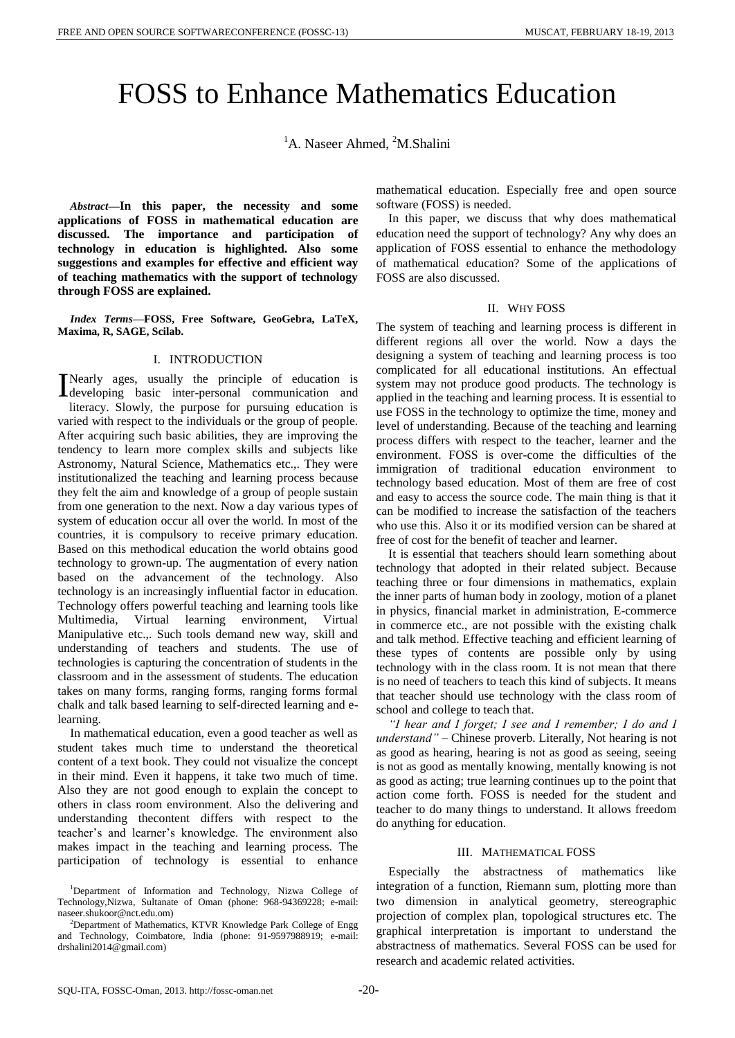# FOSS to Enhance Mathematics Education

<sup>1</sup>A. Naseer Ahmed, <sup>2</sup>M.Shalini

*Abstract***—In this paper, the necessity and some applications of FOSS in mathematical education are discussed. The importance and participation of technology in education is highlighted. Also some suggestions and examples for effective and efficient way of teaching mathematics with the support of technology through FOSS are explained.**

*Index Terms***—FOSS, Free Software, GeoGebra, LaTeX, Maxima, R, SAGE, Scilab.**

# I. INTRODUCTION

Nearly ages, usually the principle of education is Nearly ages, usually the principle of education is<br>developing basic inter-personal communication and literacy. Slowly, the purpose for pursuing education is varied with respect to the individuals or the group of people. After acquiring such basic abilities, they are improving the tendency to learn more complex skills and subjects like Astronomy, Natural Science, Mathematics etc.,. They were institutionalized the teaching and learning process because they felt the aim and knowledge of a group of people sustain from one generation to the next. Now a day various types of system of education occur all over the world. In most of the countries, it is compulsory to receive primary education. Based on this methodical education the world obtains good technology to grown-up. The augmentation of every nation based on the advancement of the technology. Also technology is an increasingly influential factor in education. Technology offers powerful teaching and learning tools like Multimedia, Virtual learning environment, Virtual Manipulative etc.,. Such tools demand new way, skill and understanding of teachers and students. The use of technologies is capturing the concentration of students in the classroom and in the assessment of students. The education takes on many forms, ranging forms, ranging forms formal chalk and talk based learning to self-directed learning and elearning.

In mathematical education, even a good teacher as well as student takes much time to understand the theoretical content of a text book. They could not visualize the concept in their mind. Even it happens, it take two much of time. Also they are not good enough to explain the concept to others in class room environment. Also the delivering and understanding thecontent differs with respect to the teacher's and learner's knowledge. The environment also makes impact in the teaching and learning process. The participation of technology is essential to enhance mathematical education. Especially free and open source software (FOSS) is needed.

In this paper, we discuss that why does mathematical education need the support of technology? Any why does an application of FOSS essential to enhance the methodology of mathematical education? Some of the applications of FOSS are also discussed.

# II. WHY FOSS

The system of teaching and learning process is different in different regions all over the world. Now a days the designing a system of teaching and learning process is too complicated for all educational institutions. An effectual system may not produce good products. The technology is applied in the teaching and learning process. It is essential to use FOSS in the technology to optimize the time, money and level of understanding. Because of the teaching and learning process differs with respect to the teacher, learner and the environment. FOSS is over-come the difficulties of the immigration of traditional education environment to technology based education. Most of them are free of cost and easy to access the source code. The main thing is that it can be modified to increase the satisfaction of the teachers who use this. Also it or its modified version can be shared at free of cost for the benefit of teacher and learner.

It is essential that teachers should learn something about technology that adopted in their related subject. Because teaching three or four dimensions in mathematics, explain the inner parts of human body in zoology, motion of a planet in physics, financial market in administration, E-commerce in commerce etc., are not possible with the existing chalk and talk method. Effective teaching and efficient learning of these types of contents are possible only by using technology with in the class room. It is not mean that there is no need of teachers to teach this kind of subjects. It means that teacher should use technology with the class room of school and college to teach that.

*"I hear and I forget; I see and I remember; I do and I understand"* – Chinese proverb. Literally, Not hearing is not as good as hearing, hearing is not as good as seeing, seeing is not as good as mentally knowing, mentally knowing is not as good as acting; true learning continues up to the point that action come forth. FOSS is needed for the student and teacher to do many things to understand. It allows freedom do anything for education.

# III. MATHEMATICAL FOSS

Especially the abstractness of mathematics like integration of a function, Riemann sum, plotting more than two dimension in analytical geometry, stereographic projection of complex plan, topological structures etc. The graphical interpretation is important to understand the abstractness of mathematics. Several FOSS can be used for research and academic related activities.

<sup>&</sup>lt;sup>1</sup>Department of Information and Technology, Nizwa College of Technology,Nizwa, Sultanate of Oman (phone: 968-94369228; e-mail: naseer.shukoor@nct.edu.om)

<sup>2</sup>Department of Mathematics, KTVR Knowledge Park College of Engg and Technology, Coimbatore, India (phone: 91-9597988919; e-mail: drshalini2014@gmail.com)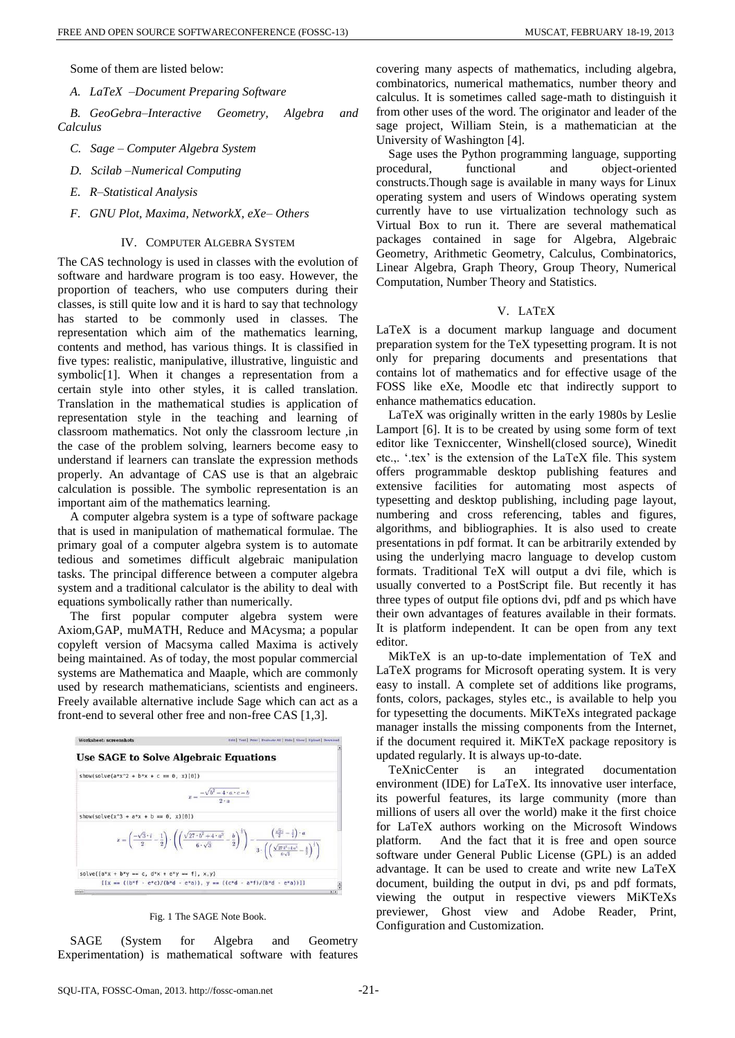Some of them are listed below:

*A. LaTeX –Document Preparing Software*

*B. GeoGebra–Interactive Geometry, Algebra and Calculus* 

- *C. Sage – Computer Algebra System*
- *D. Scilab –Numerical Computing*
- *E. R–Statistical Analysis*
- *F. GNU Plot, Maxima, NetworkX, eXe– Others*

## IV. COMPUTER ALGEBRA SYSTEM

The CAS technology is used in classes with the evolution of software and hardware program is too easy. However, the proportion of teachers, who use computers during their classes, is still quite low and it is hard to say that technology has started to be commonly used in classes. The representation which aim of the mathematics learning, contents and method, has various things. It is classified in five types: realistic, manipulative, illustrative, linguistic and symbolic[1]. When it changes a representation from a certain style into other styles, it is called translation. Translation in the mathematical studies is application of representation style in the teaching and learning of classroom mathematics. Not only the classroom lecture ,in the case of the problem solving, learners become easy to understand if learners can translate the expression methods properly. An advantage of CAS use is that an algebraic calculation is possible. The symbolic representation is an important aim of the mathematics learning.

A computer algebra system is a type of software package that is used in manipulation of mathematical formulae. The primary goal of a computer algebra system is to automate tedious and sometimes difficult algebraic manipulation tasks. The principal difference between a computer algebra system and a traditional calculator is the ability to deal with equations symbolically rather than numerically.

The first popular computer algebra system were Axiom,GAP, muMATH, Reduce and MAcysma; a popular copyleft version of Macsyma called Maxima is actively being maintained. As of today, the most popular commercial systems are Mathematica and Maaple, which are commonly used by research mathematicians, scientists and engineers. Freely available alternative include Sage which can act as a front-end to several other free and non-free CAS [1,3].



Fig. 1 The SAGE Note Book.

SAGE (System for Algebra and Geometry Experimentation) is mathematical software with features covering many aspects of mathematics, including algebra, combinatorics, numerical mathematics, number theory and calculus. It is sometimes called sage-math to distinguish it from other uses of the word. The originator and leader of the sage project, William Stein, is a mathematician at the University of Washington [4].

Sage uses the Python programming language, supporting procedural, functional and object-oriented constructs.Though sage is available in many ways for Linux operating system and users of Windows operating system currently have to use virtualization technology such as Virtual Box to run it. There are several mathematical packages contained in sage for Algebra, Algebraic Geometry, Arithmetic Geometry, Calculus, Combinatorics, Linear Algebra, Graph Theory, Group Theory, Numerical Computation, Number Theory and Statistics.

#### V. LATEX

LaTeX is a document markup language and document preparation system for the TeX typesetting program. It is not only for preparing documents and presentations that contains lot of mathematics and for effective usage of the FOSS like eXe, Moodle etc that indirectly support to enhance mathematics education.

LaTeX was originally written in the early 1980s by Leslie Lamport [6]. It is to be created by using some form of text editor like Texniccenter, Winshell(closed source), Winedit etc.,. '.tex' is the extension of the LaTeX file. This system offers programmable desktop publishing features and extensive facilities for automating most aspects of typesetting and desktop publishing, including page layout, numbering and cross referencing, tables and figures, algorithms, and bibliographies. It is also used to create presentations in pdf format. It can be arbitrarily extended by using the underlying macro language to develop custom formats. Traditional TeX will output a dvi file, which is usually converted to a PostScript file. But recently it has three types of output file options dvi, pdf and ps which have their own advantages of features available in their formats. It is platform independent. It can be open from any text editor.

MikTeX is an up-to-date implementation of TeX and LaTeX programs for Microsoft operating system. It is very easy to install. A complete set of additions like programs, fonts, colors, packages, styles etc., is available to help you for typesetting the documents. MiKTeXs integrated package manager installs the missing components from the Internet, if the document required it. MiKTeX package repository is updated regularly. It is always up-to-date.

TeXnicCenter is an integrated documentation environment (IDE) for LaTeX. Its innovative user interface, its powerful features, its large community (more than millions of users all over the world) make it the first choice for LaTeX authors working on the Microsoft Windows platform. And the fact that it is free and open source software under General Public License (GPL) is an added advantage. It can be used to create and write new LaTeX document, building the output in dvi, ps and pdf formats, viewing the output in respective viewers MiKTeXs previewer, Ghost view and Adobe Reader, Print, Configuration and Customization.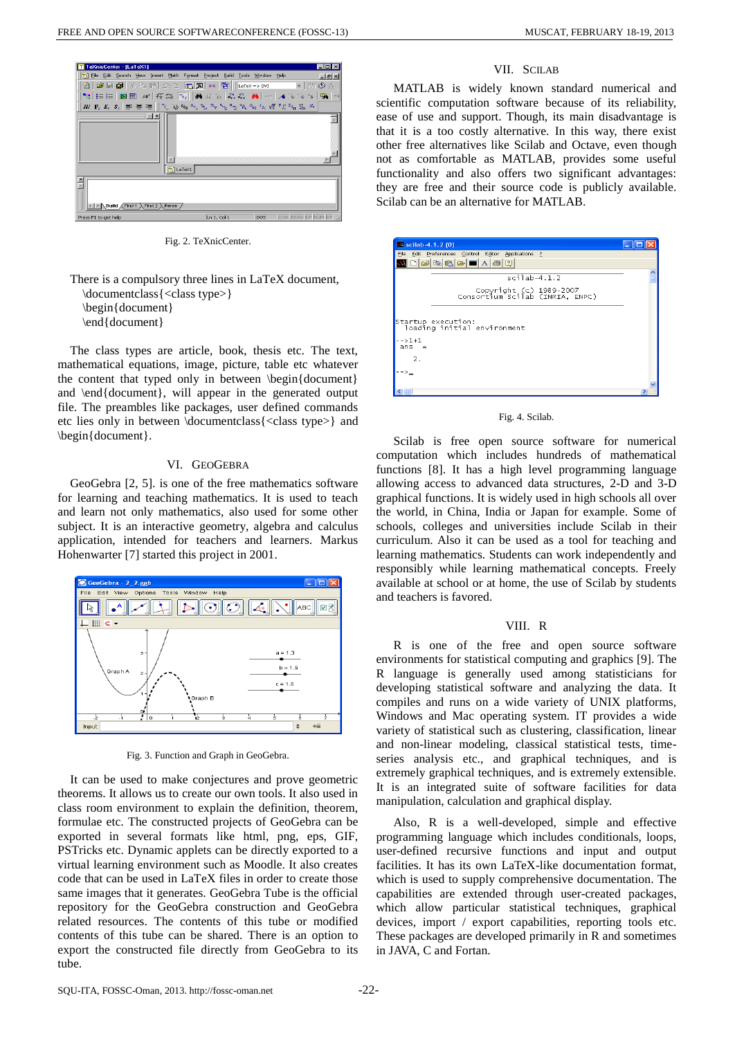

Fig. 2. TeXnicCenter.

There is a compulsory three lines in LaTeX document, \documentclass{<class type>} \begin{document} \end{document}

The class types are article, book, thesis etc. The text, mathematical equations, image, picture, table etc whatever the content that typed only in between \begin{document} and \end{document}, will appear in the generated output file. The preambles like packages, user defined commands etc lies only in between \documentclass{<class type>} and \begin{document}.

# VI. GEOGEBRA

GeoGebra [2, 5]. is one of the free mathematics software for learning and teaching mathematics. It is used to teach and learn not only mathematics, also used for some other subject. It is an interactive geometry, algebra and calculus application, intended for teachers and learners. Markus Hohenwarter [7] started this project in 2001.



Fig. 3. Function and Graph in GeoGebra.

It can be used to make conjectures and prove geometric theorems. It allows us to create our own tools. It also used in class room environment to explain the definition, theorem, formulae etc. The constructed projects of GeoGebra can be exported in several formats like html, png, eps, GIF, PSTricks etc. Dynamic applets can be directly exported to a virtual learning environment such as Moodle. It also creates code that can be used in LaTeX files in order to create those same images that it generates. GeoGebra Tube is the official repository for the GeoGebra construction and GeoGebra related resources. The contents of this tube or modified contents of this tube can be shared. There is an option to export the constructed file directly from GeoGebra to its tube.

## VII. SCILAB

MATLAB is widely known standard numerical and scientific computation software because of its reliability, ease of use and support. Though, its main disadvantage is that it is a too costly alternative. In this way, there exist other free alternatives like Scilab and Octave, even though not as comfortable as MATLAB, provides some useful functionality and also offers two significant advantages: they are free and their source code is publicly available. Scilab can be an alternative for MATLAB.

| $\sim$ scilab-4.1.2 (0)                                    |  |
|------------------------------------------------------------|--|
| File Edit Preferences Control Editor Applications ?        |  |
| 0 2 3 6 2 1 4 3 7                                          |  |
| $scilab-4.1.2$                                             |  |
| Copyright (c) 1989-2007<br>Consortium Scilab (INRIA, ENPC) |  |
| Startup execution:<br>  loading initial environment        |  |
| -->1+1<br>$ans =$                                          |  |
| 2.                                                         |  |
|                                                            |  |
|                                                            |  |
| l uu                                                       |  |

#### Fig. 4. Scilab.

Scilab is free open source software for numerical computation which includes hundreds of mathematical functions [8]. It has a high level programming language allowing access to advanced data structures, 2-D and 3-D graphical functions. It is widely used in high schools all over the world, in China, India or Japan for example. Some of schools, colleges and universities include Scilab in their curriculum. Also it can be used as a tool for teaching and learning mathematics. Students can work independently and responsibly while learning mathematical concepts. Freely available at school or at home, the use of Scilab by students and teachers is favored.

## VIII. R

R is one of the free and open source software environments for statistical computing and graphics [9]. The R language is generally used among statisticians for developing statistical software and analyzing the data. It compiles and runs on a wide variety of UNIX platforms, Windows and Mac operating system. IT provides a wide variety of statistical such as clustering, classification, linear and non-linear modeling, classical statistical tests, timeseries analysis etc., and graphical techniques, and is extremely graphical techniques, and is extremely extensible. It is an integrated suite of software facilities for data manipulation, calculation and graphical display.

Also, R is a well-developed, simple and effective programming language which includes conditionals, loops, user-defined recursive functions and input and output facilities. It has its own LaTeX-like documentation format, which is used to supply comprehensive documentation. The capabilities are extended through user-created packages, which allow particular statistical techniques, graphical devices, import / export capabilities, reporting tools etc. These packages are developed primarily in R and sometimes in JAVA, C and Fortan.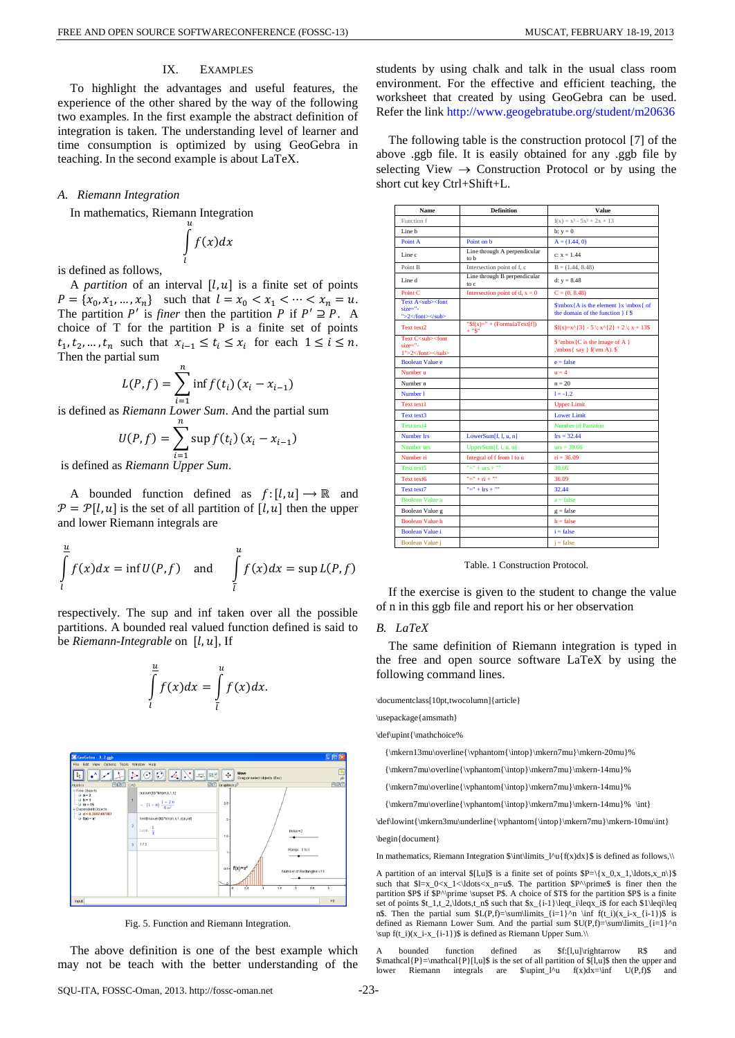# IX. EXAMPLES

To highlight the advantages and useful features, the experience of the other shared by the way of the following two examples. In the first example the abstract definition of integration is taken. The understanding level of learner and time consumption is optimized by using GeoGebra in teaching. In the second example is about LaTeX.

#### *A. Riemann Integration*

In mathematics, Riemann Integration

$$
\int\limits_l^u f(x) dx
$$

is defined as follows,

A *partition* of an interval  $[l, u]$  is a finite set of points  $P = \{x_0, x_1, ..., x_n\}$  such that  $l = x_0 < x_1 < \cdots < x_n = u$ . The partition  $P'$  is *finer* then the partition P if  $P' \supseteq P$ . A choice of T for the partition P is a finite set of points  $t_1, t_2, ..., t_n$  such that  $x_{i-1} \le t_i \le x_i$  for each  $1 \le i \le n$ . Then the partial sum

$$
L(P, f) = \sum_{i=1}^{n} \inf f(t_i) (x_i - x_{i-1})
$$

is defined as *Riemann Lower Sum*. And the partial sum

$$
U(P, f) = \sum_{i=1}^{n} \sup f(t_i) (x_i - x_{i-1})
$$

is defined as *Riemann Upper Sum*.

A bounded function defined as  $f: [l, u] \rightarrow \mathbb{R}$  and  $\mathcal{P} = \mathcal{P}[l, u]$  is the set of all partition of  $[l, u]$  then the upper and lower Riemann integrals are

$$
\int_{l}^{\frac{u}{L}} f(x) dx = \inf U(P, f) \quad \text{and} \quad \int_{l}^{u} f(x) dx = \sup L(P, f)
$$

respectively. The sup and inf taken over all the possible partitions. A bounded real valued function defined is said to be *Riemann-Integrable* on [l, u], If



 $\int f(x) dx$  $\overline{u}$  $=$   $\int f(x) dx$  $\overline{u}$ .

Fig. 5. Function and Riemann Integration.

The above definition is one of the best example which may not be teach with the better understanding of the students by using chalk and talk in the usual class room environment. For the effective and efficient teaching, the worksheet that created by using GeoGebra can be used. Refer the link<http://www.geogebratube.org/student/m20636>

The following table is the construction protocol [7] of the above .ggb file. It is easily obtained for any .ggb file by selecting View  $\rightarrow$  Construction Protocol or by using the short cut key Ctrl+Shift+L.

| <b>Name</b>                                                            | <b>Definition</b>                          | Value                                                                         |
|------------------------------------------------------------------------|--------------------------------------------|-------------------------------------------------------------------------------|
| Function f                                                             |                                            | $f(x) = x^3 - 5x^2 + 2x + 13$                                                 |
| Line h                                                                 |                                            | $b: y = 0$                                                                    |
| Point A                                                                | Point on h                                 | $A = (1.44, 0)$                                                               |
| Line c                                                                 | Line through A perpendicular<br>to b       | $c: x = 1.44$                                                                 |
| Point B                                                                | Intersection point of f, c                 | $B = (1.44, 8.48)$                                                            |
| Line d                                                                 | Line through B perpendicular<br>to c       | d: $y = 8.48$                                                                 |
| Point <sub>C</sub>                                                     | Intersection point of d, $x = 0$           | $C = (0, 8.48)$                                                               |
| Text A <sub><font<br><math>size=" -</math><br/>"&gt;2</font<br></sub>  |                                            | $\mbox{A}$ is the element $x \mbox{ of}$<br>the domain of the function } f \$ |
| Text text2                                                             | " $f(x) =$ " + (FormulaText[f])<br>$+$ "S" | $f(x)=x^{\wedge}{3} - 5$ ; $x^{\wedge}{2} + 2$ ; $x + 135$                    |
| Text C <sub><font<br><math>size=" -</math><br/>1"&gt;2</font<br></sub> |                                            | $\mbox{C}$ is the image of A }<br>$\mbox{ say } f(\rm A).$                    |
| <b>Boolean Value e</b>                                                 |                                            | $e = false$                                                                   |
| Number <sub>11</sub>                                                   |                                            | $n = 4$                                                                       |
| Number <sub>n</sub>                                                    |                                            | $n = 20$                                                                      |
| Number 1                                                               |                                            | $1 = -1.2$                                                                    |
| Text text1                                                             |                                            | <b>Upper Limit</b>                                                            |
| Text text3                                                             |                                            | <b>Lower Limit</b>                                                            |
| Text text4                                                             |                                            | <b>Number of Partition</b>                                                    |
| Number Irs                                                             | LowerSum[f, $l$ , $u$ , $n$ ]              | $lrs = 32.44$                                                                 |
| Number urs                                                             | UpperSum[f, l, u, n]                       | $urs = 39.66$                                                                 |
| Number ri                                                              | Integral of f from 1 to u                  | $ri = 36.09$                                                                  |
| Text text5                                                             | $"=" + urs + ""$                           | 39.66                                                                         |
| Text text6                                                             | $"=" + ri + ""$                            | 36.09                                                                         |
| Text text7                                                             | "=" + $\text{lrs}$ + ""                    | 32.44                                                                         |
| <b>Boolean Value a</b>                                                 |                                            | $a = false$                                                                   |
| Boolean Value g                                                        |                                            | $g = false$                                                                   |
| <b>Boolean Value h</b>                                                 |                                            | $h = false$                                                                   |
| <b>Boolean Value i</b>                                                 |                                            | $i = false$                                                                   |
| Boolean Value j                                                        |                                            | $i = false$                                                                   |

Table. 1 Construction Protocol.

If the exercise is given to the student to change the value of n in this ggb file and report his or her observation

# *B. LaTeX*

The same definition of Riemann integration is typed in the free and open source software LaTeX by using the following command lines.

\documentclass[10pt,twocolumn]{article}

\usepackage{amsmath}

\def\upint{\mathchoice%

{\mkern13mu\overline{\vphantom{\intop}\mkern7mu}\mkern-20mu}%

{\mkern7mu\overline{\vphantom{\intop}\mkern7mu}\mkern-14mu}%

{\mkern7mu\overline{\vphantom{\intop}\mkern7mu}\mkern-14mu}%

 ${\rm7mu\overline{\vphantom{\in\rm7mu}\rm kern7mu}}\rm+14mu}$ 

\def\lowint{\mkern3mu\underline{\vphantom{\intop}\mkern7mu}\mkern-10mu\int}

\begin{document}

In mathematics, Riemann Integration  $\int\lim_{\alpha} l^u(f(x))dx$  is defined as follows,

A partition of an interval \$[l,u]\$ is a finite set of points  $P=\{x_0,x_1,\ldots,x_n\}$ such that  $l=x_0 < x_1 < ldots < x_n=u$ . The partition  $P^{\prime}$  prime  $s$  is finer then the partition \$P\$ if \$P^\prime \supset P\$. A choice of \$T\$ for the partition \$P\$ is a finite set of points \$t\_1,t\_2,\ldots,t\_n\$ such that \$x\_{i-1}\leqt\_i\leqx\_i\$ for each \$1\leqi\leq n\$. Then the partial sum  $L(P,f)=\sum_{i=1}^n \inf_{f(t_i)(x_i-x_{i-1})\$  is defined as Riemann Lower Sum. And the partial sum  $SU(P,f)=\sum_{i=1}^n$ \sup f(t\_i)(x\_i-x\_{i-1})\$ is defined as Riemann Upper Sum.\\

bounded function defined as \$f:[l,u]\rightarrow R\$ and \$\mathcal{P}=\mathcal{P}[l,u]\$ is the set of all partition of \$[l,u]\$ then the upper and lower Riemann integrals are  $\lvert \nu f(x)dx = \inf U(P,f)$  and